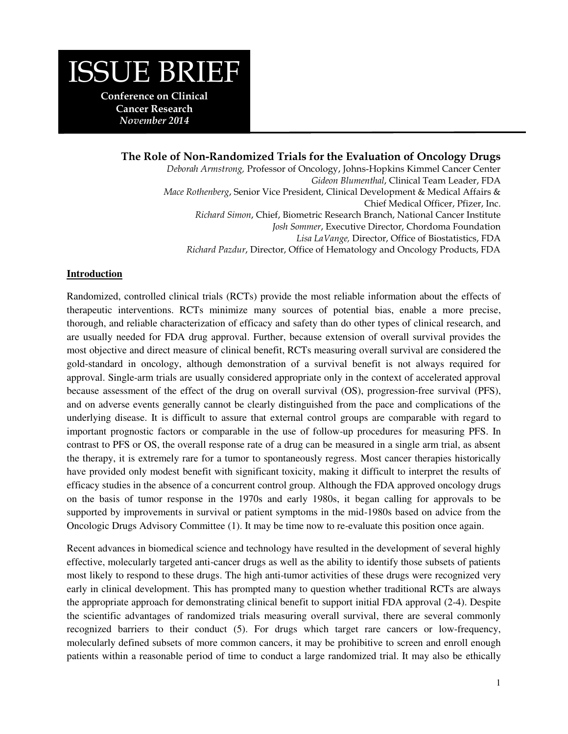# ISSUE BRIEF

**Conference on Clinical Cancer Research**  *November 2014* 

# **The Role of Non-Randomized Trials for the Evaluation of Oncology Drugs**

*Deborah Armstrong,* Professor of Oncology, Johns-Hopkins Kimmel Cancer Center *Gideon Blumenthal*, Clinical Team Leader, FDA *Mace Rothenberg*, Senior Vice President, Clinical Development & Medical Affairs & Chief Medical Officer, Pfizer, Inc. *Richard Simon*, Chief, Biometric Research Branch, National Cancer Institute *Josh Sommer*, Executive Director, Chordoma Foundation *Lisa LaVange,* Director, Office of Biostatistics, FDA *Richard Pazdur*, Director, Office of Hematology and Oncology Products, FDA

## **Introduction**

Randomized, controlled clinical trials (RCTs) provide the most reliable information about the effects of therapeutic interventions. RCTs minimize many sources of potential bias, enable a more precise, thorough, and reliable characterization of efficacy and safety than do other types of clinical research, and are usually needed for FDA drug approval. Further, because extension of overall survival provides the most objective and direct measure of clinical benefit, RCTs measuring overall survival are considered the gold-standard in oncology, although demonstration of a survival benefit is not always required for approval. Single-arm trials are usually considered appropriate only in the context of accelerated approval because assessment of the effect of the drug on overall survival (OS), progression-free survival (PFS), and on adverse events generally cannot be clearly distinguished from the pace and complications of the underlying disease. It is difficult to assure that external control groups are comparable with regard to important prognostic factors or comparable in the use of follow-up procedures for measuring PFS. In contrast to PFS or OS, the overall response rate of a drug can be measured in a single arm trial, as absent the therapy, it is extremely rare for a tumor to spontaneously regress. Most cancer therapies historically have provided only modest benefit with significant toxicity, making it difficult to interpret the results of efficacy studies in the absence of a concurrent control group. Although the FDA approved oncology drugs on the basis of tumor response in the 1970s and early 1980s, it began calling for approvals to be supported by improvements in survival or patient symptoms in the mid-1980s based on advice from the Oncologic Drugs Advisory Committee [\(1\)](#page-7-0). It may be time now to re-evaluate this position once again.

Recent advances in biomedical science and technology have resulted in the development of several highly effective, molecularly targeted anti-cancer drugs as well as the ability to identify those subsets of patients most likely to respond to these drugs. The high anti-tumor activities of these drugs were recognized very early in clinical development. This has prompted many to question whether traditional RCTs are always the appropriate approach for demonstrating clinical benefit to support initial FDA approval [\(2-4\)](#page-7-1). Despite the scientific advantages of randomized trials measuring overall survival, there are several commonly recognized barriers to their conduct [\(5\)](#page-7-2). For drugs which target rare cancers or low-frequency, molecularly defined subsets of more common cancers, it may be prohibitive to screen and enroll enough patients within a reasonable period of time to conduct a large randomized trial. It may also be ethically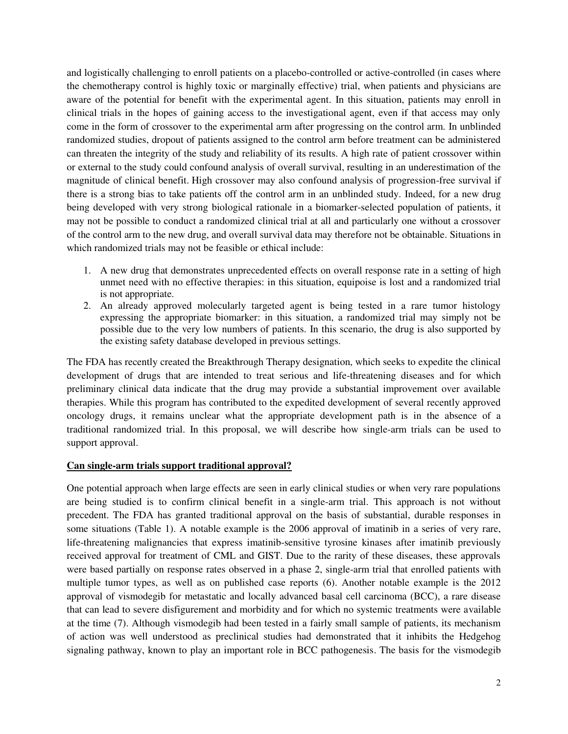and logistically challenging to enroll patients on a placebo-controlled or active-controlled (in cases where the chemotherapy control is highly toxic or marginally effective) trial, when patients and physicians are aware of the potential for benefit with the experimental agent. In this situation, patients may enroll in clinical trials in the hopes of gaining access to the investigational agent, even if that access may only come in the form of crossover to the experimental arm after progressing on the control arm. In unblinded randomized studies, dropout of patients assigned to the control arm before treatment can be administered can threaten the integrity of the study and reliability of its results. A high rate of patient crossover within or external to the study could confound analysis of overall survival, resulting in an underestimation of the magnitude of clinical benefit. High crossover may also confound analysis of progression-free survival if there is a strong bias to take patients off the control arm in an unblinded study. Indeed, for a new drug being developed with very strong biological rationale in a biomarker-selected population of patients, it may not be possible to conduct a randomized clinical trial at all and particularly one without a crossover of the control arm to the new drug, and overall survival data may therefore not be obtainable. Situations in which randomized trials may not be feasible or ethical include:

- 1. A new drug that demonstrates unprecedented effects on overall response rate in a setting of high unmet need with no effective therapies: in this situation, equipoise is lost and a randomized trial is not appropriate.
- 2. An already approved molecularly targeted agent is being tested in a rare tumor histology expressing the appropriate biomarker: in this situation, a randomized trial may simply not be possible due to the very low numbers of patients. In this scenario, the drug is also supported by the existing safety database developed in previous settings.

The FDA has recently created the Breakthrough Therapy designation, which seeks to expedite the clinical development of drugs that are intended to treat serious and life-threatening diseases and for which preliminary clinical data indicate that the drug may provide a substantial improvement over available therapies. While this program has contributed to the expedited development of several recently approved oncology drugs, it remains unclear what the appropriate development path is in the absence of a traditional randomized trial. In this proposal, we will describe how single-arm trials can be used to support approval.

## **Can single-arm trials support traditional approval?**

One potential approach when large effects are seen in early clinical studies or when very rare populations are being studied is to confirm clinical benefit in a single-arm trial. This approach is not without precedent. The FDA has granted traditional approval on the basis of substantial, durable responses in some situations (Table 1). A notable example is the 2006 approval of imatinib in a series of very rare, life-threatening malignancies that express imatinib-sensitive tyrosine kinases after imatinib previously received approval for treatment of CML and GIST. Due to the rarity of these diseases, these approvals were based partially on response rates observed in a phase 2, single-arm trial that enrolled patients with multiple tumor types, as well as on published case reports [\(6\)](#page-7-3). Another notable example is the 2012 approval of vismodegib for metastatic and locally advanced basal cell carcinoma (BCC), a rare disease that can lead to severe disfigurement and morbidity and for which no systemic treatments were available at the time [\(7\)](#page-7-4). Although vismodegib had been tested in a fairly small sample of patients, its mechanism of action was well understood as preclinical studies had demonstrated that it inhibits the Hedgehog signaling pathway, known to play an important role in BCC pathogenesis. The basis for the vismodegib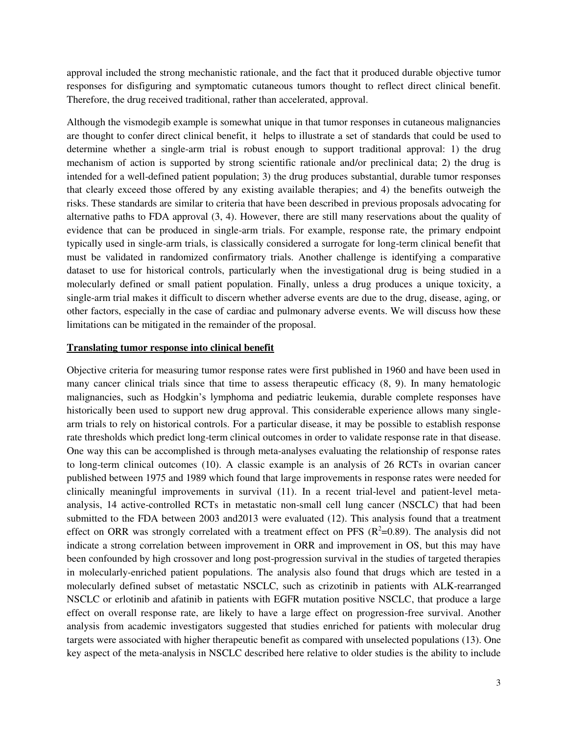approval included the strong mechanistic rationale, and the fact that it produced durable objective tumor responses for disfiguring and symptomatic cutaneous tumors thought to reflect direct clinical benefit. Therefore, the drug received traditional, rather than accelerated, approval.

Although the vismodegib example is somewhat unique in that tumor responses in cutaneous malignancies are thought to confer direct clinical benefit, it helps to illustrate a set of standards that could be used to determine whether a single-arm trial is robust enough to support traditional approval: 1) the drug mechanism of action is supported by strong scientific rationale and/or preclinical data; 2) the drug is intended for a well-defined patient population; 3) the drug produces substantial, durable tumor responses that clearly exceed those offered by any existing available therapies; and 4) the benefits outweigh the risks. These standards are similar to criteria that have been described in previous proposals advocating for alternative paths to FDA approval [\(3,](#page-7-5) [4\)](#page-7-6). However, there are still many reservations about the quality of evidence that can be produced in single-arm trials. For example, response rate, the primary endpoint typically used in single-arm trials, is classically considered a surrogate for long-term clinical benefit that must be validated in randomized confirmatory trials. Another challenge is identifying a comparative dataset to use for historical controls, particularly when the investigational drug is being studied in a molecularly defined or small patient population. Finally, unless a drug produces a unique toxicity, a single-arm trial makes it difficult to discern whether adverse events are due to the drug, disease, aging, or other factors, especially in the case of cardiac and pulmonary adverse events. We will discuss how these limitations can be mitigated in the remainder of the proposal.

#### **Translating tumor response into clinical benefit**

Objective criteria for measuring tumor response rates were first published in 1960 and have been used in many cancer clinical trials since that time to assess therapeutic efficacy [\(8,](#page-7-7) [9\)](#page-7-8). In many hematologic malignancies, such as Hodgkin's lymphoma and pediatric leukemia, durable complete responses have historically been used to support new drug approval. This considerable experience allows many singlearm trials to rely on historical controls. For a particular disease, it may be possible to establish response rate thresholds which predict long-term clinical outcomes in order to validate response rate in that disease. One way this can be accomplished is through meta-analyses evaluating the relationship of response rates to long-term clinical outcomes [\(10\)](#page-7-9). A classic example is an analysis of 26 RCTs in ovarian cancer published between 1975 and 1989 which found that large improvements in response rates were needed for clinically meaningful improvements in survival [\(11\)](#page-7-10). In a recent trial-level and patient-level metaanalysis, 14 active-controlled RCTs in metastatic non-small cell lung cancer (NSCLC) that had been submitted to the FDA between 2003 and2013 were evaluated [\(12\)](#page-7-11). This analysis found that a treatment effect on ORR was strongly correlated with a treatment effect on PFS  $(R^2=0.89)$ . The analysis did not indicate a strong correlation between improvement in ORR and improvement in OS, but this may have been confounded by high crossover and long post-progression survival in the studies of targeted therapies in molecularly-enriched patient populations. The analysis also found that drugs which are tested in a molecularly defined subset of metastatic NSCLC, such as crizotinib in patients with ALK-rearranged NSCLC or erlotinib and afatinib in patients with EGFR mutation positive NSCLC, that produce a large effect on overall response rate, are likely to have a large effect on progression-free survival. Another analysis from academic investigators suggested that studies enriched for patients with molecular drug targets were associated with higher therapeutic benefit as compared with unselected populations [\(13\)](#page-7-12). One key aspect of the meta-analysis in NSCLC described here relative to older studies is the ability to include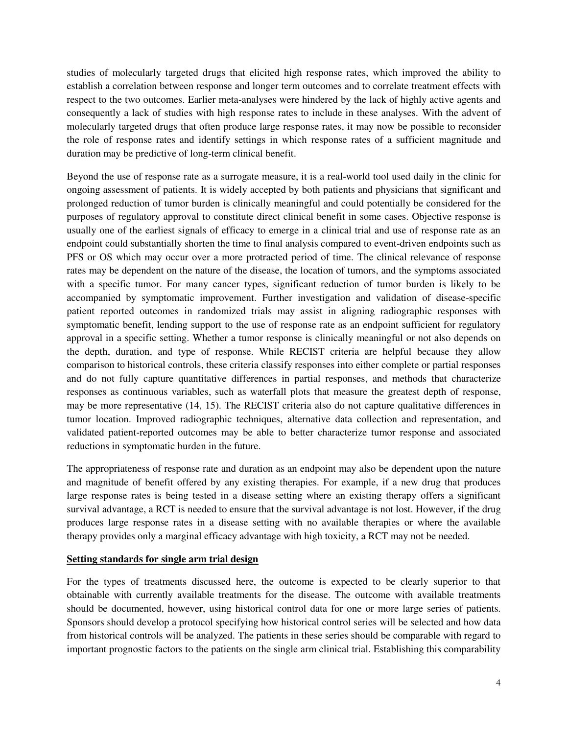studies of molecularly targeted drugs that elicited high response rates, which improved the ability to establish a correlation between response and longer term outcomes and to correlate treatment effects with respect to the two outcomes. Earlier meta-analyses were hindered by the lack of highly active agents and consequently a lack of studies with high response rates to include in these analyses. With the advent of molecularly targeted drugs that often produce large response rates, it may now be possible to reconsider the role of response rates and identify settings in which response rates of a sufficient magnitude and duration may be predictive of long-term clinical benefit.

Beyond the use of response rate as a surrogate measure, it is a real-world tool used daily in the clinic for ongoing assessment of patients. It is widely accepted by both patients and physicians that significant and prolonged reduction of tumor burden is clinically meaningful and could potentially be considered for the purposes of regulatory approval to constitute direct clinical benefit in some cases. Objective response is usually one of the earliest signals of efficacy to emerge in a clinical trial and use of response rate as an endpoint could substantially shorten the time to final analysis compared to event-driven endpoints such as PFS or OS which may occur over a more protracted period of time. The clinical relevance of response rates may be dependent on the nature of the disease, the location of tumors, and the symptoms associated with a specific tumor. For many cancer types, significant reduction of tumor burden is likely to be accompanied by symptomatic improvement. Further investigation and validation of disease-specific patient reported outcomes in randomized trials may assist in aligning radiographic responses with symptomatic benefit, lending support to the use of response rate as an endpoint sufficient for regulatory approval in a specific setting. Whether a tumor response is clinically meaningful or not also depends on the depth, duration, and type of response. While RECIST criteria are helpful because they allow comparison to historical controls, these criteria classify responses into either complete or partial responses and do not fully capture quantitative differences in partial responses, and methods that characterize responses as continuous variables, such as waterfall plots that measure the greatest depth of response, may be more representative [\(14,](#page-7-13) [15\)](#page-7-14). The RECIST criteria also do not capture qualitative differences in tumor location. Improved radiographic techniques, alternative data collection and representation, and validated patient-reported outcomes may be able to better characterize tumor response and associated reductions in symptomatic burden in the future.

The appropriateness of response rate and duration as an endpoint may also be dependent upon the nature and magnitude of benefit offered by any existing therapies. For example, if a new drug that produces large response rates is being tested in a disease setting where an existing therapy offers a significant survival advantage, a RCT is needed to ensure that the survival advantage is not lost. However, if the drug produces large response rates in a disease setting with no available therapies or where the available therapy provides only a marginal efficacy advantage with high toxicity, a RCT may not be needed.

## **Setting standards for single arm trial design**

For the types of treatments discussed here, the outcome is expected to be clearly superior to that obtainable with currently available treatments for the disease. The outcome with available treatments should be documented, however, using historical control data for one or more large series of patients. Sponsors should develop a protocol specifying how historical control series will be selected and how data from historical controls will be analyzed. The patients in these series should be comparable with regard to important prognostic factors to the patients on the single arm clinical trial. Establishing this comparability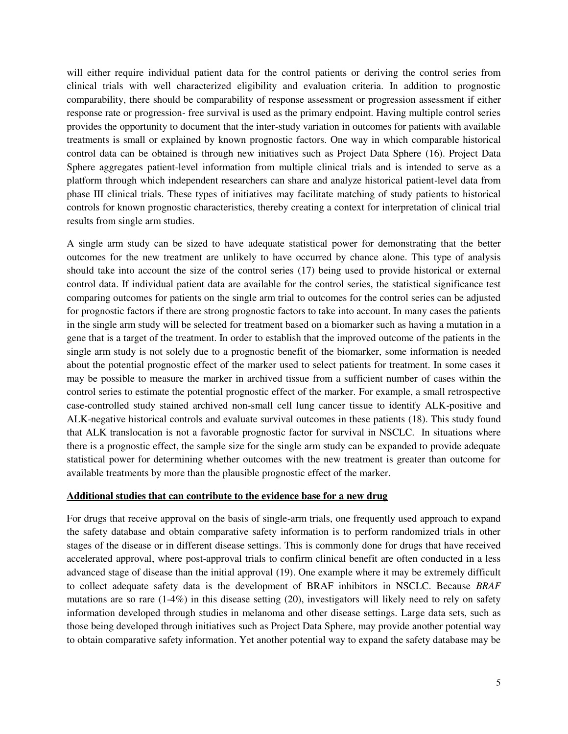will either require individual patient data for the control patients or deriving the control series from clinical trials with well characterized eligibility and evaluation criteria. In addition to prognostic comparability, there should be comparability of response assessment or progression assessment if either response rate or progression- free survival is used as the primary endpoint. Having multiple control series provides the opportunity to document that the inter-study variation in outcomes for patients with available treatments is small or explained by known prognostic factors. One way in which comparable historical control data can be obtained is through new initiatives such as Project Data Sphere [\(16\)](#page-7-15). Project Data Sphere aggregates patient-level information from multiple clinical trials and is intended to serve as a platform through which independent researchers can share and analyze historical patient-level data from phase III clinical trials. These types of initiatives may facilitate matching of study patients to historical controls for known prognostic characteristics, thereby creating a context for interpretation of clinical trial results from single arm studies.

A single arm study can be sized to have adequate statistical power for demonstrating that the better outcomes for the new treatment are unlikely to have occurred by chance alone. This type of analysis should take into account the size of the control series [\(17\)](#page-7-16) being used to provide historical or external control data. If individual patient data are available for the control series, the statistical significance test comparing outcomes for patients on the single arm trial to outcomes for the control series can be adjusted for prognostic factors if there are strong prognostic factors to take into account. In many cases the patients in the single arm study will be selected for treatment based on a biomarker such as having a mutation in a gene that is a target of the treatment. In order to establish that the improved outcome of the patients in the single arm study is not solely due to a prognostic benefit of the biomarker, some information is needed about the potential prognostic effect of the marker used to select patients for treatment. In some cases it may be possible to measure the marker in archived tissue from a sufficient number of cases within the control series to estimate the potential prognostic effect of the marker. For example, a small retrospective case-controlled study stained archived non-small cell lung cancer tissue to identify ALK-positive and ALK-negative historical controls and evaluate survival outcomes in these patients [\(18\)](#page-7-17). This study found that ALK translocation is not a favorable prognostic factor for survival in NSCLC. In situations where there is a prognostic effect, the sample size for the single arm study can be expanded to provide adequate statistical power for determining whether outcomes with the new treatment is greater than outcome for available treatments by more than the plausible prognostic effect of the marker.

#### **Additional studies that can contribute to the evidence base for a new drug**

For drugs that receive approval on the basis of single-arm trials, one frequently used approach to expand the safety database and obtain comparative safety information is to perform randomized trials in other stages of the disease or in different disease settings. This is commonly done for drugs that have received accelerated approval, where post-approval trials to confirm clinical benefit are often conducted in a less advanced stage of disease than the initial approval [\(19\)](#page-7-18). One example where it may be extremely difficult to collect adequate safety data is the development of BRAF inhibitors in NSCLC. Because *BRAF* mutations are so rare  $(1-4\%)$  in this disease setting [\(20\)](#page-7-19), investigators will likely need to rely on safety information developed through studies in melanoma and other disease settings. Large data sets, such as those being developed through initiatives such as Project Data Sphere, may provide another potential way to obtain comparative safety information. Yet another potential way to expand the safety database may be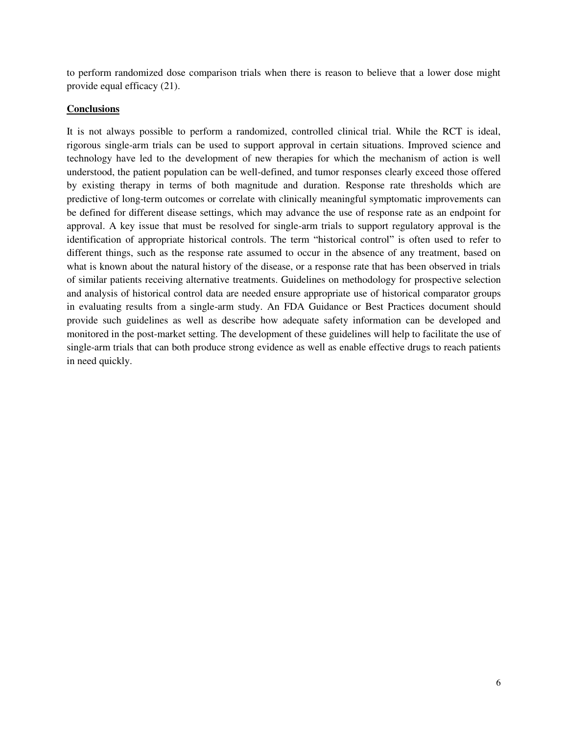to perform randomized dose comparison trials when there is reason to believe that a lower dose might provide equal efficacy [\(21\)](#page-7-20).

## **Conclusions**

It is not always possible to perform a randomized, controlled clinical trial. While the RCT is ideal, rigorous single-arm trials can be used to support approval in certain situations. Improved science and technology have led to the development of new therapies for which the mechanism of action is well understood, the patient population can be well-defined, and tumor responses clearly exceed those offered by existing therapy in terms of both magnitude and duration. Response rate thresholds which are predictive of long-term outcomes or correlate with clinically meaningful symptomatic improvements can be defined for different disease settings, which may advance the use of response rate as an endpoint for approval. A key issue that must be resolved for single-arm trials to support regulatory approval is the identification of appropriate historical controls. The term "historical control" is often used to refer to different things, such as the response rate assumed to occur in the absence of any treatment, based on what is known about the natural history of the disease, or a response rate that has been observed in trials of similar patients receiving alternative treatments. Guidelines on methodology for prospective selection and analysis of historical control data are needed ensure appropriate use of historical comparator groups in evaluating results from a single-arm study. An FDA Guidance or Best Practices document should provide such guidelines as well as describe how adequate safety information can be developed and monitored in the post-market setting. The development of these guidelines will help to facilitate the use of single-arm trials that can both produce strong evidence as well as enable effective drugs to reach patients in need quickly.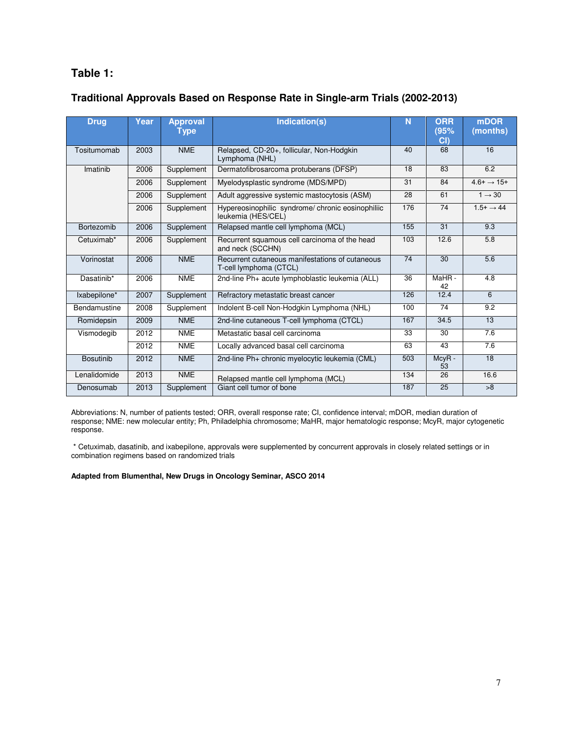# **Table 1:**

| <b>Drug</b>      | Year | <b>Approval</b><br>Type | Indication(s)                                                             | N   | <b>ORR</b><br>(95% | <b>mDOR</b><br>(months) |
|------------------|------|-------------------------|---------------------------------------------------------------------------|-----|--------------------|-------------------------|
|                  |      |                         |                                                                           |     | CI                 |                         |
| Tositumomab      | 2003 | <b>NME</b>              | Relapsed, CD-20+, follicular, Non-Hodgkin<br>Lymphoma (NHL)               | 40  | 68                 | 16                      |
| Imatinib         | 2006 | Supplement              | Dermatofibrosarcoma protuberans (DFSP)                                    | 18  | 83                 | 6.2                     |
|                  | 2006 | Supplement              | Myelodysplastic syndrome (MDS/MPD)                                        | 31  | 84                 | $4.6+ \rightarrow 15+$  |
|                  | 2006 | Supplement              | Adult aggressive systemic mastocytosis (ASM)                              | 28  | 61                 | $1 \rightarrow 30$      |
|                  | 2006 | Supplement              | Hypereosinophilic syndrome/chronic eosinophiliic<br>leukemia (HES/CEL)    | 176 | 74                 | $1.5+ \rightarrow 44$   |
| Bortezomib       | 2006 | Supplement              | Relapsed mantle cell lymphoma (MCL)                                       | 155 | 31                 | 9.3                     |
| Cetuximab*       | 2006 | Supplement              | Recurrent squamous cell carcinoma of the head<br>and neck (SCCHN)         | 103 | 12.6               | 5.8                     |
| Vorinostat       | 2006 | <b>NME</b>              | Recurrent cutaneous manifestations of cutaneous<br>T-cell lymphoma (CTCL) | 74  | 30                 | 5.6                     |
| Dasatinib*       | 2006 | <b>NME</b>              | 2nd-line Ph+ acute lymphoblastic leukemia (ALL)                           | 36  | MaHR-<br>42        | 4.8                     |
| Ixabepilone*     | 2007 | Supplement              | Refractory metastatic breast cancer                                       | 126 | 12.4               | 6                       |
| Bendamustine     | 2008 | Supplement              | Indolent B-cell Non-Hodgkin Lymphoma (NHL)                                | 100 | 74                 | 9.2                     |
| Romidepsin       | 2009 | <b>NME</b>              | 2nd-line cutaneous T-cell lymphoma (CTCL)                                 | 167 | 34.5               | 13                      |
| Vismodegib       | 2012 | <b>NME</b>              | Metastatic basal cell carcinoma                                           | 33  | 30                 | 7.6                     |
|                  | 2012 | <b>NME</b>              | Locally advanced basal cell carcinoma                                     | 63  | 43                 | 7.6                     |
| <b>Bosutinib</b> | 2012 | <b>NME</b>              | 2nd-line Ph+ chronic myelocytic leukemia (CML)                            | 503 | McyR-<br>53        | 18                      |
| Lenalidomide     | 2013 | <b>NME</b>              | Relapsed mantle cell lymphoma (MCL)                                       | 134 | 26                 | 16.6                    |
| Denosumab        | 2013 | Supplement              | Giant cell tumor of bone                                                  | 187 | 25                 | >8                      |

# **Traditional Approvals Based on Response Rate in Single-arm Trials (2002-2013)**

Abbreviations: N, number of patients tested; ORR, overall response rate; CI, confidence interval; mDOR, median duration of response; NME: new molecular entity; Ph, Philadelphia chromosome; MaHR, major hematologic response; McyR, major cytogenetic response.

 \* Cetuximab, dasatinib, and ixabepilone, approvals were supplemented by concurrent approvals in closely related settings or in combination regimens based on randomized trials

**Adapted from Blumenthal, New Drugs in Oncology Seminar, ASCO 2014**